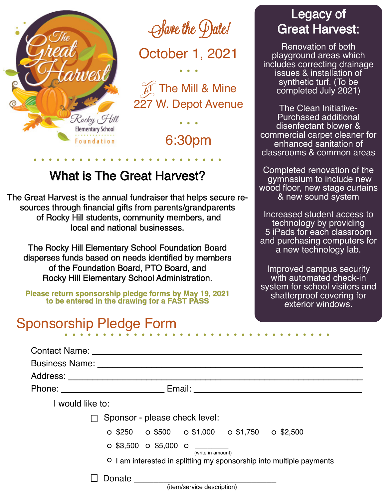

 $\Theta$  save the  $\Theta$  ate!

October 1, 2021

The Mill & Mine 227 W. Depot Avenue .<br>. . .

6:30pm

# What is The Great Harvest?

The Great Harvest is the annual fundraiser that helps secure resources through financial gifts from parents/grandparents of Rocky Hill students, community members, and local and national businesses.

The Rocky Hill Elementary School Foundation Board disperses funds based on needs identified by members of the Foundation Board, PTO Board, and Rocky Hill Elementary School Administration.

**Please return sponsorship pledge forms by May 19, 2021 to be entered in the drawing for a FAST PASS**

# Sponsorship Pledge Form

### Legacy of Great Harvest:

Renovation of both playground areas which includes correcting drainage issues & installation of synthetic turf. (To be completed July 2021)

The Clean Initiative-Purchased additional disenfectant blower & commercial carpet cleaner for enhanced sanitation of classrooms & common areas

Completed renovation of the gymnasium to include new wood floor, new stage curtains & new sound system

Increased student access to technology by providing 5 iPads for each classroom and purchasing computers for a new technology lab.

Improved campus security with automated check-in system for school visitors and shatterproof covering for exterior windows.

|                  | Contact Name: The Contact Name:                                             |
|------------------|-----------------------------------------------------------------------------|
|                  |                                                                             |
|                  |                                                                             |
|                  |                                                                             |
| I would like to: |                                                                             |
|                  | Sponsor - please check level:                                               |
|                  | $\circ$ \$250 $\circ$ \$500 $\circ$ \$1,000 $\circ$ \$1,750 $\circ$ \$2,500 |
|                  | $\circ$ \$3,500 $\circ$ \$5,000 $\circ$<br>(write in amount)                |
|                  | O I am interested in splitting my sponsorship into multiple payments        |
|                  |                                                                             |
|                  | (item/service description)                                                  |